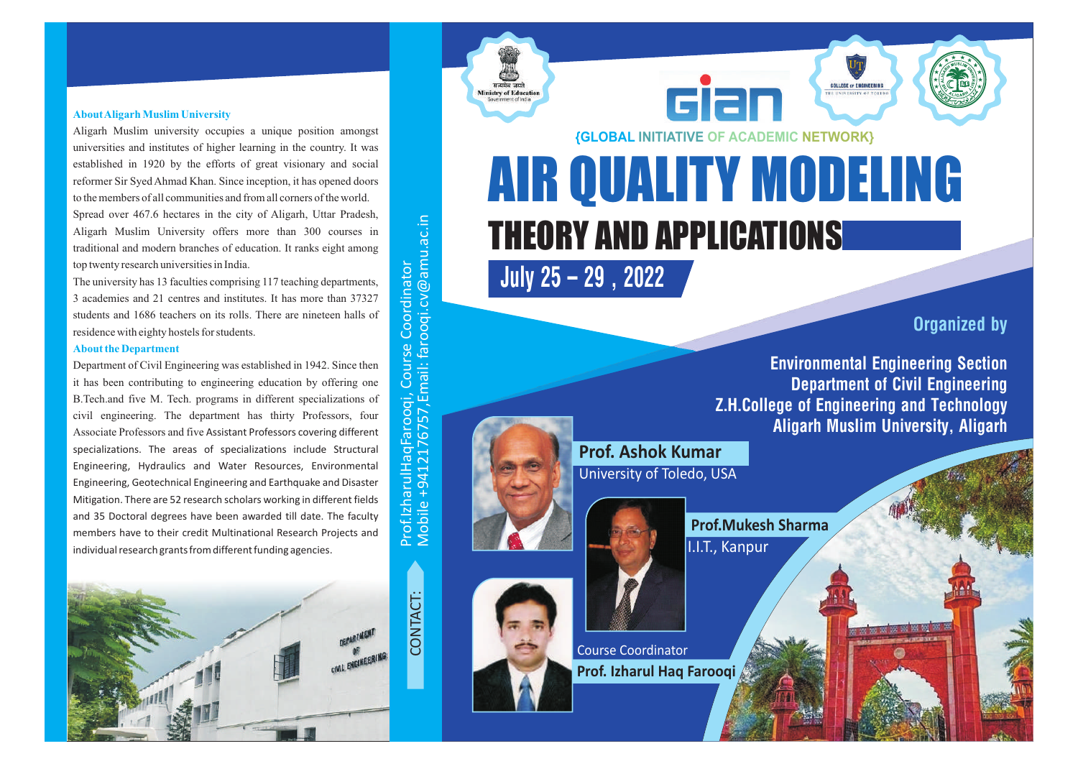#### **About Aligarh Muslim University**

Aligarh Muslim university occupies a unique position amongst universities and institutes of higher learning in the country. It was established in 1920 by the efforts of great visionary and social reformer Sir Syed Ahmad Khan. Since inception, it has opened doors to the members of all communities and from all corners of the world. Spread over 467.6 hectares in the city of Aligarh, Uttar Pradesh, Aligarh Muslim University offers more than 300 courses in traditional and modern branches of education. It ranks eight among top twenty research universities in India.

The university has 13 faculties comprising 117 teaching departments, 3 academies and 21 centres and institutes. It has more than 37327 students and 1686 teachers on its rolls. There are nineteen halls of residence with eighty hostels for students.

#### **About the Department**

Department of Civil Engineering was established in 1942. Since then it has been contributing to engineering education by offering one B.Tech.and five M. Tech. programs in different specializations of civil engineering. The department has thirty Professors, four Associate Professors and five Assistant Professors covering different specializations. The areas of specializations include Structural Engineering, Hydraulics and Water Resources, Environmental Engineering, Geotechnical Engineering and Earthquake and Disaster Mitigation. There are 52 research scholars working in different fields and 35 Doctoral degrees have been awarded till date. The faculty members have to their credit Multinational Research Projects and individual research grants from different funding agencies.



**{GLOBAL INITIATIVE OF ACADEMIC NETWORK}**

ciar

# AIR QUALITY MODELING THEORY AND APPLICATIONS

**July 25 – 29 , 2022**

**Organized by**

**Environmental Engineering Section Department of Civil Engineering Z.H.College of Engineering and Technology Aligarh Muslim University, Aligarh**

**COLLEGE OF ENGINEERIN** 



Prof.Izh

Mobile

+9412176757,E

arulH a qFaro o

qi, C o

m

ail: faro oqi.c v@am

a<br>J c.in मन्यमेव जयतं

**Ministry of Educat** 

urse  $\cup$ o ordin

ator



**Prof.Mukesh Sharma** I.I.T., Kanpur

Course Coordinator **Prof. Izharul Haq Farooqi**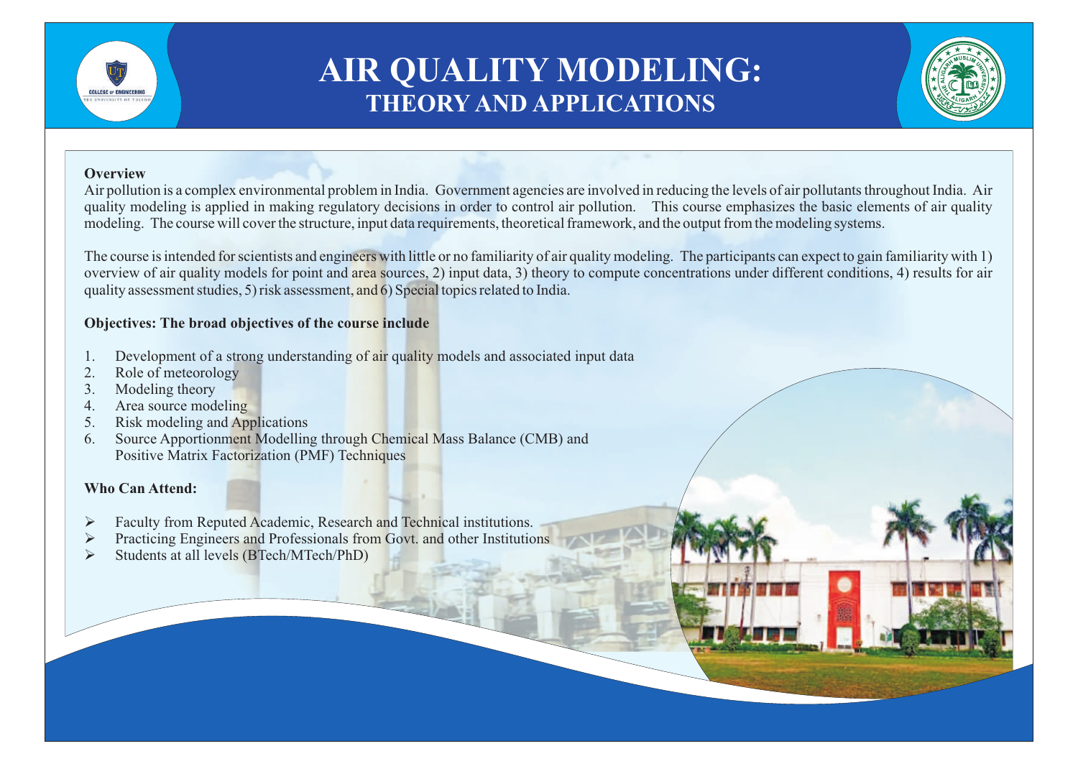

# **AIR QUALITY MODELING: THEORY AND APPLICATIONS**

#### **Overview**

Air pollution is a complex environmental problem in India. Government agencies are involved in reducing the levels of air pollutants throughout India. Air quality modeling is applied in making regulatory decisions in order to control air pollution. This course emphasizes the basic elements of air quality modeling. The course will cover the structure, input data requirements, theoretical framework, and the output from the modeling systems.

The course is intended for scientists and engineers with little or no familiarity of air quality modeling. The participants can expect to gain familiarity with 1) overview of air quality models for point and area sources, 2) input data, 3) theory to compute concentrations under different conditions, 4) results for air quality assessment studies, 5) risk assessment, and 6) Special topics related to India.

### **Objectives: The broad objectives of the course include**

- 1. Development of a strong understanding of air quality models and associated input data
- 2. Role of meteorology
- 3. Modeling theory
- 4. Area source modeling
- 5. Risk modeling and Applications
- 6. Source Apportionment Modelling through Chemical Mass Balance (CMB) and Positive Matrix Factorization (PMF) Techniques

## **Who Can Attend:**

- Ø Faculty from Reputed Academic, Research and Technical institutions.
- **EXECUTE:** Practicing Engineers and Professionals from Govt. and other Institutions
- Ø Students at all levels (BTech/MTech/PhD)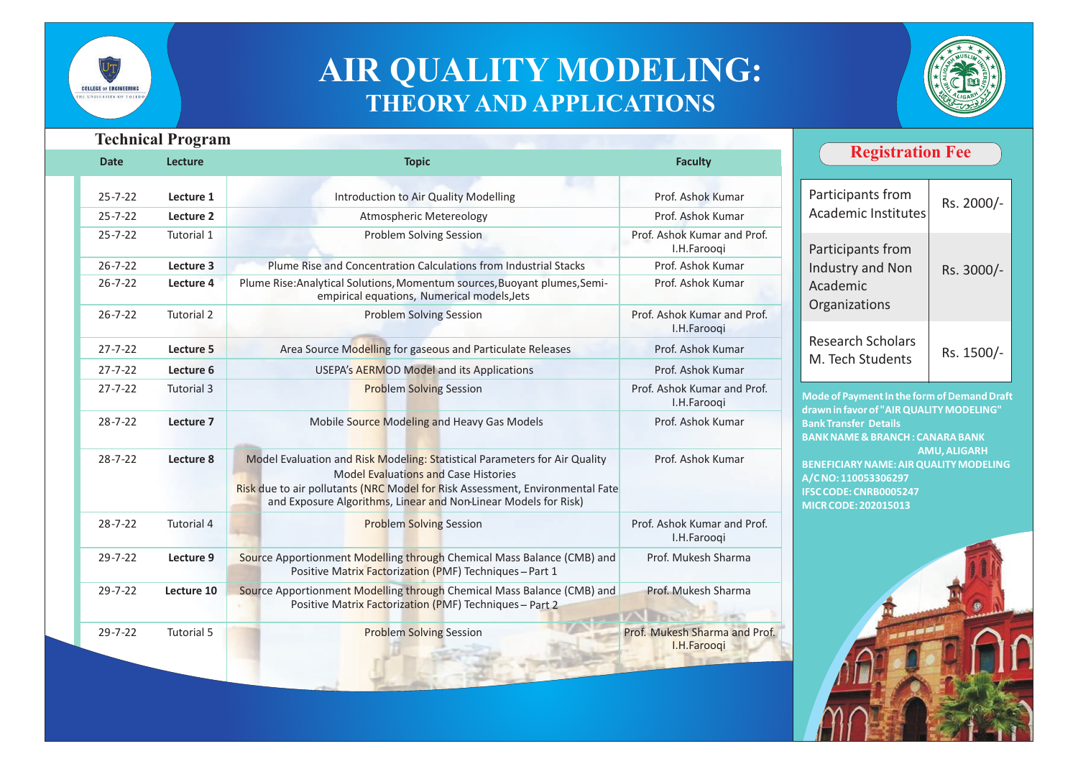

# **AIR QUALITY MODELING: THEORY AND APPLICATIONS**



| <b>Date</b>   | <b>Technical Program</b><br><b>Lecture</b> | <b>Topic</b>                                                                                                                                                                                                                                                                  | <b>Faculty</b>                               | <b>Registration Fee</b>                                                                                                                                                                                                                                                                                                       |                          |
|---------------|--------------------------------------------|-------------------------------------------------------------------------------------------------------------------------------------------------------------------------------------------------------------------------------------------------------------------------------|----------------------------------------------|-------------------------------------------------------------------------------------------------------------------------------------------------------------------------------------------------------------------------------------------------------------------------------------------------------------------------------|--------------------------|
| $25 - 7 - 22$ | Lecture 1                                  | Introduction to Air Quality Modelling                                                                                                                                                                                                                                         | Prof. Ashok Kumar                            | Participants from<br><b>Academic Institutes</b>                                                                                                                                                                                                                                                                               | Rs. 2000/-               |
| $25 - 7 - 22$ | Lecture 2                                  | <b>Atmospheric Metereology</b>                                                                                                                                                                                                                                                | Prof. Ashok Kumar                            |                                                                                                                                                                                                                                                                                                                               |                          |
| $25 - 7 - 22$ | Tutorial 1                                 | <b>Problem Solving Session</b>                                                                                                                                                                                                                                                | Prof. Ashok Kumar and Prof.<br>I.H.Farooqi   | Participants from<br>Industry and Non<br>Academic<br>Organizations<br><b>Research Scholars</b><br>M. Tech Students                                                                                                                                                                                                            | Rs. 3000/-<br>Rs. 1500/- |
| $26 - 7 - 22$ | Lecture 3                                  | Plume Rise and Concentration Calculations from Industrial Stacks                                                                                                                                                                                                              | Prof. Ashok Kumar                            |                                                                                                                                                                                                                                                                                                                               |                          |
| $26 - 7 - 22$ | Lecture 4                                  | Plume Rise: Analytical Solutions, Momentum sources, Buoyant plumes, Semi-<br>empirical equations, Numerical models, Jets                                                                                                                                                      | Prof. Ashok Kumar                            |                                                                                                                                                                                                                                                                                                                               |                          |
| $26 - 7 - 22$ | <b>Tutorial 2</b>                          | <b>Problem Solving Session</b>                                                                                                                                                                                                                                                | Prof. Ashok Kumar and Prof.<br>I.H.Farooqi   |                                                                                                                                                                                                                                                                                                                               |                          |
| $27 - 7 - 22$ | Lecture 5                                  | Area Source Modelling for gaseous and Particulate Releases                                                                                                                                                                                                                    | Prof. Ashok Kumar                            |                                                                                                                                                                                                                                                                                                                               |                          |
| $27 - 7 - 22$ | Lecture 6                                  | <b>USEPA's AERMOD Model and its Applications</b>                                                                                                                                                                                                                              | Prof. Ashok Kumar                            |                                                                                                                                                                                                                                                                                                                               |                          |
| $27 - 7 - 22$ | Tutorial 3                                 | <b>Problem Solving Session</b>                                                                                                                                                                                                                                                | Prof. Ashok Kumar and Prof.<br>I.H.Farooqi   | Mode of Payment In the form of Demand Draft<br>drawn in favor of "AIR QUALITY MODELING"<br><b>Bank Transfer Details</b><br><b>BANK NAME &amp; BRANCH: CANARA BANK</b><br><b>AMU, ALIGARH</b><br><b>BENEFICIARY NAME: AIR QUALITY MODELING</b><br>A/CNO: 110053306297<br>IFSC CODE: CNRB0005247<br><b>MICR CODE: 202015013</b> |                          |
| $28 - 7 - 22$ | Lecture 7                                  | Mobile Source Modeling and Heavy Gas Models                                                                                                                                                                                                                                   | Prof. Ashok Kumar                            |                                                                                                                                                                                                                                                                                                                               |                          |
| $28 - 7 - 22$ | Lecture 8                                  | Model Evaluation and Risk Modeling: Statistical Parameters for Air Quality<br><b>Model Evaluations and Case Histories</b><br>Risk due to air pollutants (NRC Model for Risk Assessment, Environmental Fate<br>and Exposure Algorithms, Linear and Non-Linear Models for Risk) | Prof. Ashok Kumar                            |                                                                                                                                                                                                                                                                                                                               |                          |
| $28 - 7 - 22$ | <b>Tutorial 4</b>                          | <b>Problem Solving Session</b>                                                                                                                                                                                                                                                | Prof. Ashok Kumar and Prof.<br>I.H.Farooqi   |                                                                                                                                                                                                                                                                                                                               |                          |
| $29 - 7 - 22$ | Lecture 9                                  | Source Apportionment Modelling through Chemical Mass Balance (CMB) and<br>Positive Matrix Factorization (PMF) Techniques-Part 1                                                                                                                                               | Prof. Mukesh Sharma                          |                                                                                                                                                                                                                                                                                                                               |                          |
| $29 - 7 - 22$ | Lecture 10                                 | Source Apportionment Modelling through Chemical Mass Balance (CMB) and<br>Positive Matrix Factorization (PMF) Techniques - Part 2                                                                                                                                             | Prof. Mukesh Sharma                          |                                                                                                                                                                                                                                                                                                                               |                          |
| $29 - 7 - 22$ | <b>Tutorial 5</b>                          | <b>Problem Solving Session</b>                                                                                                                                                                                                                                                | Prof. Mukesh Sharma and Prof.<br>I.H.Farooqi |                                                                                                                                                                                                                                                                                                                               |                          |

5124 F